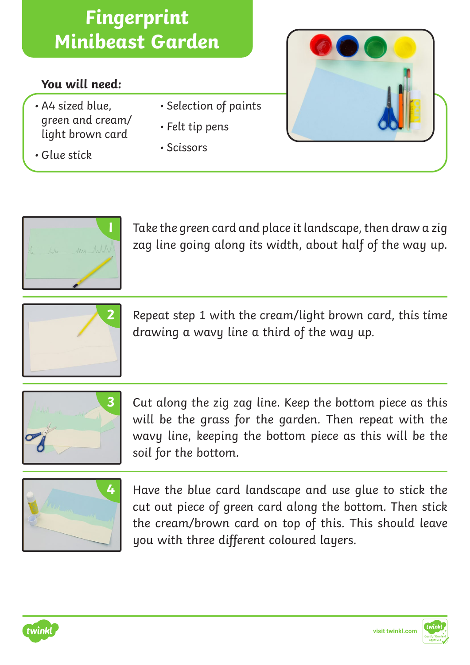## **You will need:**

- A4 sized blue, green and cream/ light brown card
- Glue stick
- Selection of paints
- Felt tip pens
- Scissors



**1** Take the green card and place it landscape, then draw a zig zag line going along its width, about half of the way up.



**2** Repeat step 1 with the cream/light brown card, this time drawing a wavy line a third of the way up.



**3** Cut along the zig zag line. Keep the bottom piece as this will be the grass for the garden. Then repeat with the wavy line, keeping the bottom piece as this will be the soil for the bottom.



**4** Have the blue card landscape and use glue to stick the cut out piece of green card along the bottom. Then stick the cream/brown card on top of this. This should leave you with three different coloured layers.



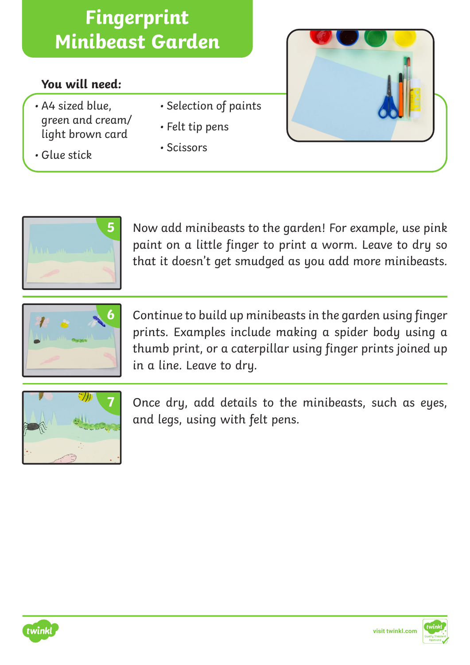## **You will need:**

- A4 sized blue, green and cream/ light brown card
- Glue stick
- Selection of paints
- Felt tip pens
- Scissors



**5** Now add minibeasts to the garden! For example, use pink paint on a little finger to print a worm. Leave to dry so that it doesn't get smudged as you add more minibeasts.



**6** Continue to build up minibeasts in the garden using finger prints. Examples include making a spider body using a thumb print, or a caterpillar using finger prints joined up in a line. Leave to dry.



**7** Once dry, add details to the minibeasts, such as eyes, and legs, using with felt pens.



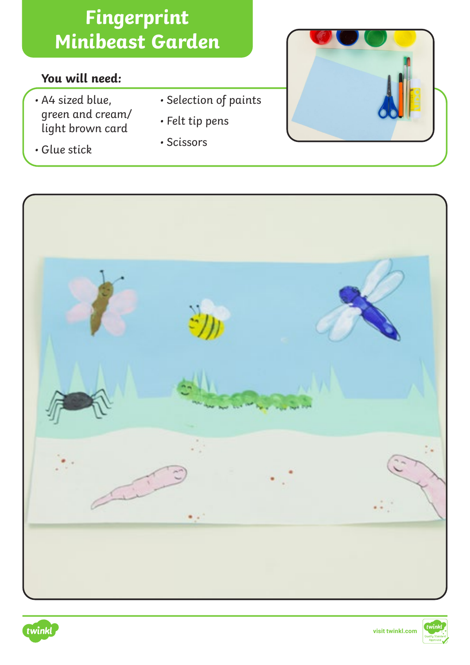## **You will need:**

- A4 sized blue, green and cream/ light brown card
- Glue stick
- Selection of paints
- Felt tip pens
- Scissors







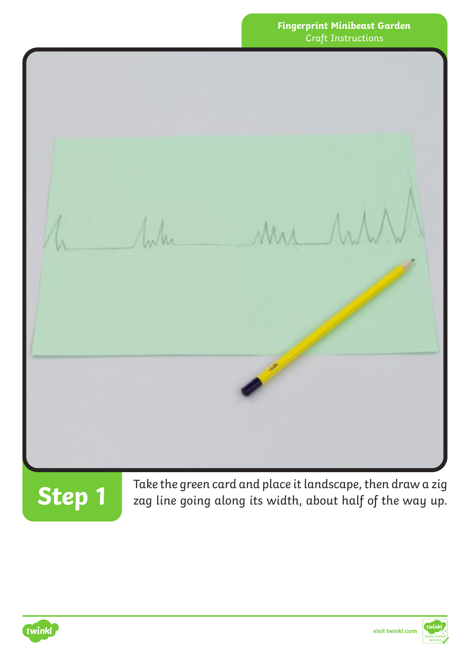

Take the green card and place it landscape, then draw a zig **Step 1** zag line going along its width, about half of the way up.



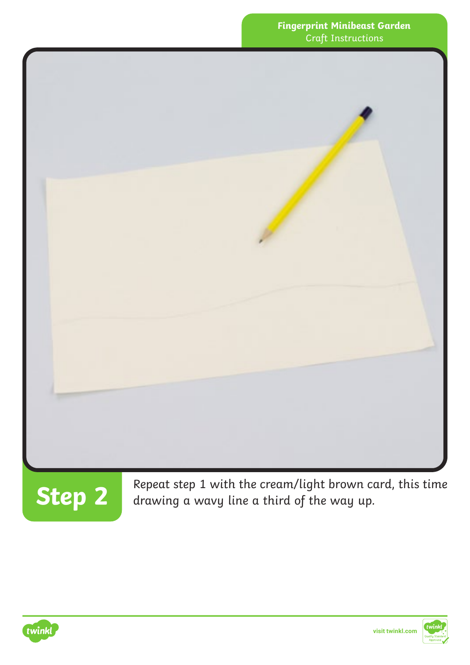



**Step 2** Repeat step 1 with the cream/light brown card, this time<br>drawing a wavy line a third of the way up. drawing a wavy line a third of the way up.



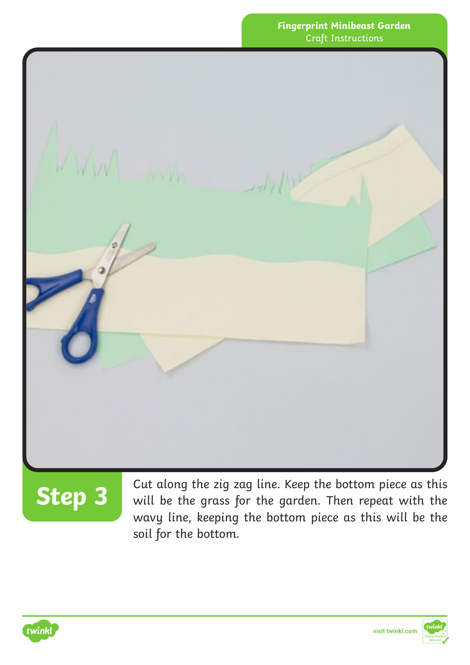

**Step 3**

Cut along the zig zag line. Keep the bottom piece as this will be the grass for the garden. Then repeat with the wavy line, keeping the bottom piece as this will be the soil for the bottom.

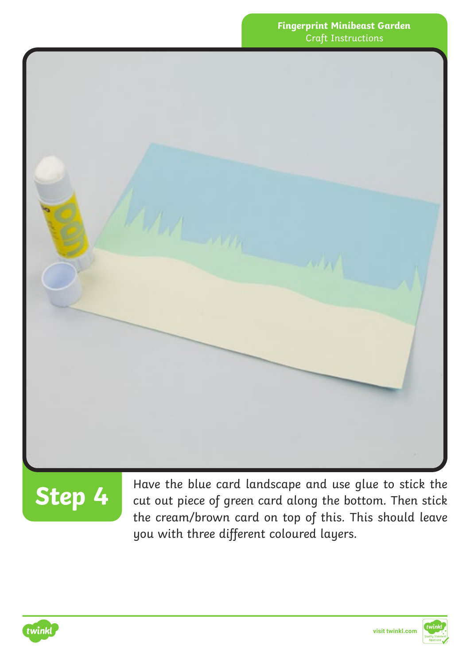



**Step 4** Have the blue card landscape and use glue to stick the cut out piece of green card along the bottom. Then stick the cream/brown card on top of this. This should leave you with three different coloured layers.



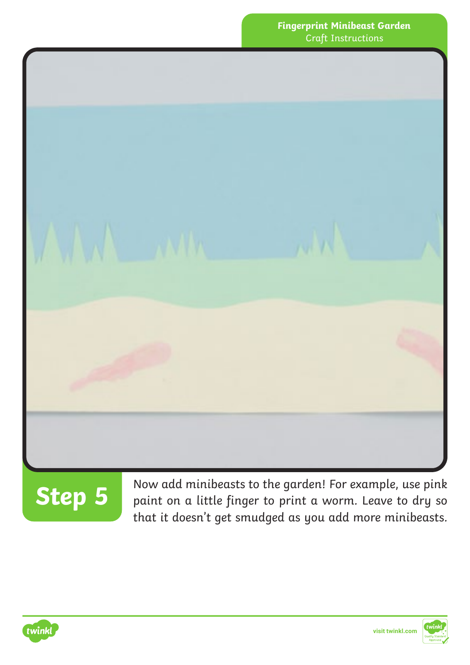



Now add minibeasts to the garden! For example, use pink paint on a little finger to print a worm. Leave to dry so that it doesn't get smudged as you add more minibeasts.



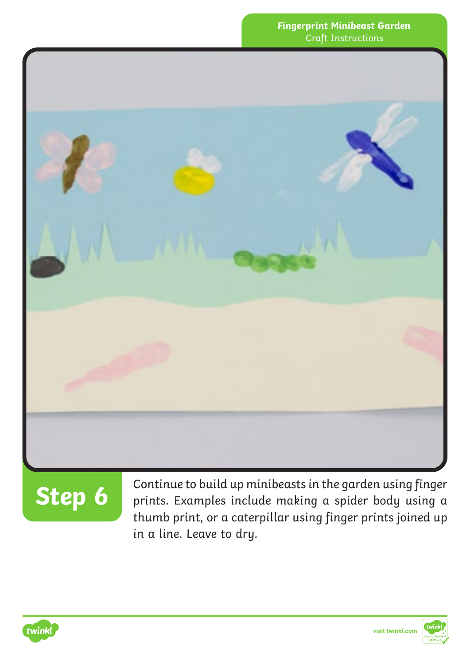

# **Step 6**

Continue to build up minibeasts in the garden using finger prints. Examples include making a spider body using a thumb print, or a caterpillar using finger prints joined up in a line. Leave to dry.

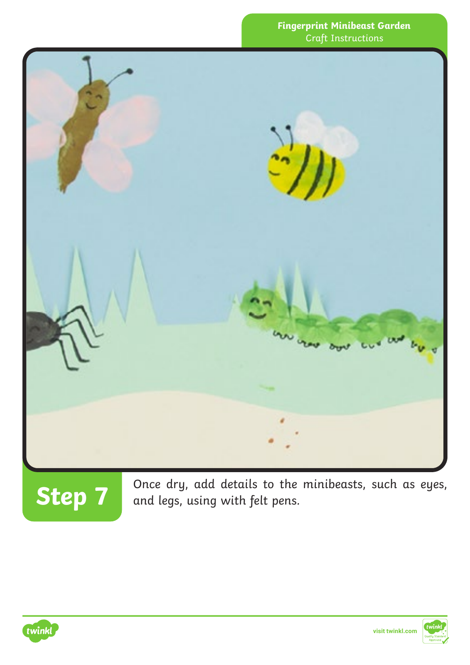



Step 7 and legs, using with felt pens.<br>**Step 7** and legs, using with felt pens.